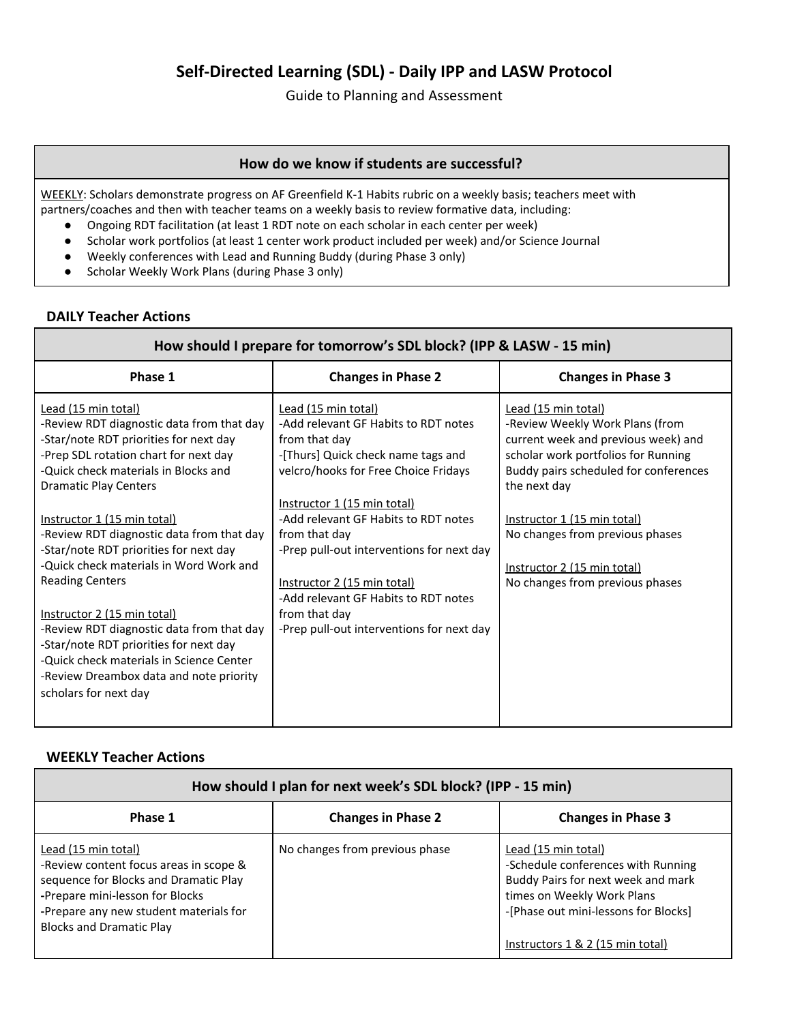# **Self-Directed Learning (SDL) - Daily IPP and LASW Protocol**

Guide to Planning and Assessment

#### **How do we know if students are successful?**

WEEKLY: Scholars demonstrate progress on AF Greenfield K-1 Habits rubric on a weekly basis; teachers meet with partners/coaches and then with teacher teams on a weekly basis to review formative data, including:

- Ongoing RDT facilitation (at least 1 RDT note on each scholar in each center per week)
- Scholar work portfolios (at least 1 center work product included per week) and/or Science Journal
- Weekly conferences with Lead and Running Buddy (during Phase 3 only)
- Scholar Weekly Work Plans (during Phase 3 only)

## **DAILY Teacher Actions**

| How should I prepare for tomorrow's SDL block? (IPP & LASW - 15 min)                                                                                                                                                                                                                                                                              |                                                                                                                                                                                                                                                                                                 |                                                                                                                                                                                                                                                                 |  |  |
|---------------------------------------------------------------------------------------------------------------------------------------------------------------------------------------------------------------------------------------------------------------------------------------------------------------------------------------------------|-------------------------------------------------------------------------------------------------------------------------------------------------------------------------------------------------------------------------------------------------------------------------------------------------|-----------------------------------------------------------------------------------------------------------------------------------------------------------------------------------------------------------------------------------------------------------------|--|--|
| Phase 1                                                                                                                                                                                                                                                                                                                                           | <b>Changes in Phase 2</b>                                                                                                                                                                                                                                                                       | <b>Changes in Phase 3</b>                                                                                                                                                                                                                                       |  |  |
| Lead (15 min total)<br>-Review RDT diagnostic data from that day<br>-Star/note RDT priorities for next day<br>-Prep SDL rotation chart for next day<br>-Quick check materials in Blocks and<br><b>Dramatic Play Centers</b><br>Instructor 1 (15 min total)<br>-Review RDT diagnostic data from that day<br>-Star/note RDT priorities for next day | Lead (15 min total)<br>-Add relevant GF Habits to RDT notes<br>from that day<br>-[Thurs] Quick check name tags and<br>velcro/hooks for Free Choice Fridays<br>Instructor 1 (15 min total)<br>-Add relevant GF Habits to RDT notes<br>from that day<br>-Prep pull-out interventions for next day | Lead (15 min total)<br>-Review Weekly Work Plans (from<br>current week and previous week) and<br>scholar work portfolios for Running<br>Buddy pairs scheduled for conferences<br>the next day<br>Instructor 1 (15 min total)<br>No changes from previous phases |  |  |
| -Quick check materials in Word Work and<br><b>Reading Centers</b><br>Instructor 2 (15 min total)<br>-Review RDT diagnostic data from that day<br>-Star/note RDT priorities for next day<br>-Quick check materials in Science Center<br>-Review Dreambox data and note priority<br>scholars for next day                                           | Instructor 2 (15 min total)<br>-Add relevant GF Habits to RDT notes<br>from that day<br>-Prep pull-out interventions for next day                                                                                                                                                               | Instructor 2 (15 min total)<br>No changes from previous phases                                                                                                                                                                                                  |  |  |

### **WEEKLY Teacher Actions**

| How should I plan for next week's SDL block? (IPP - 15 min)                                                                                                                                                            |                                |                                                                                                                                                                                                           |  |  |
|------------------------------------------------------------------------------------------------------------------------------------------------------------------------------------------------------------------------|--------------------------------|-----------------------------------------------------------------------------------------------------------------------------------------------------------------------------------------------------------|--|--|
| Phase 1                                                                                                                                                                                                                | <b>Changes in Phase 2</b>      | <b>Changes in Phase 3</b>                                                                                                                                                                                 |  |  |
| Lead (15 min total)<br>-Review content focus areas in scope &<br>sequence for Blocks and Dramatic Play<br>-Prepare mini-lesson for Blocks<br>-Prepare any new student materials for<br><b>Blocks and Dramatic Play</b> | No changes from previous phase | Lead (15 min total)<br>-Schedule conferences with Running<br>Buddy Pairs for next week and mark<br>times on Weekly Work Plans<br>-[Phase out mini-lessons for Blocks]<br>Instructors 1 & 2 (15 min total) |  |  |